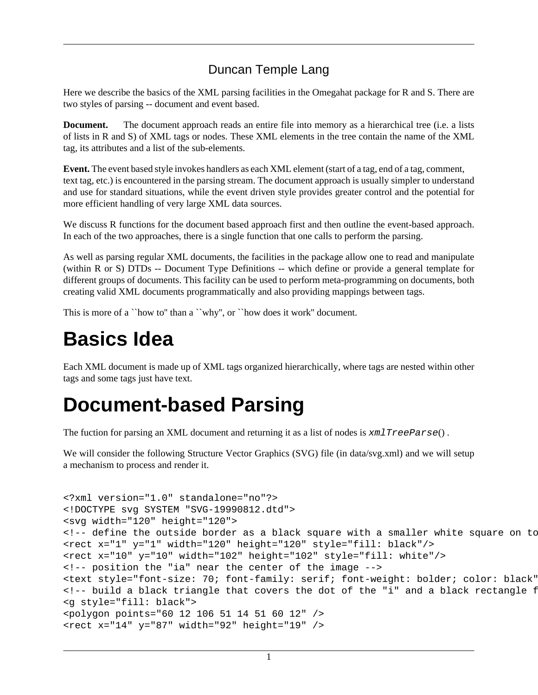#### Duncan Temple Lang

Here we describe the basics of the XML parsing facilities in the Omegahat package for R and S. There are two styles of parsing -- document and event based.

**Document.** The document approach reads an entire file into memory as a hierarchical tree (i.e. a lists of lists in R and S) of XML tags or nodes. These XML elements in the tree contain the name of the XML tag, its attributes and a list of the sub-elements.

**Event.** The event based style invokes handlers as each XML element (start of a tag, end of a tag, comment, text tag, etc.) is encountered in the parsing stream. The document approach is usually simpler to understand and use for standard situations, while the event driven style provides greater control and the potential for more efficient handling of very large XML data sources.

We discuss R functions for the document based approach first and then outline the event-based approach. In each of the two approaches, there is a single function that one calls to perform the parsing.

As well as parsing regular XML documents, the facilities in the package allow one to read and manipulate (within R or S) DTDs -- Document Type Definitions -- which define or provide a general template for different groups of documents. This facility can be used to perform meta-programming on documents, both creating valid XML documents programmatically and also providing mappings between tags.

This is more of a "how to" than a "why", or "how does it work" document.

# **Basics Idea**

Each XML document is made up of XML tags organized hierarchically, where tags are nested within other tags and some tags just have text.

# **Document-based Parsing**

The fuction for parsing an XML document and returning it as a list of nodes is  $xm \perp TreeParse()$ .

We will consider the following Structure Vector Graphics (SVG) file (in data/svg.xml) and we will setup a mechanism to process and render it.

```
<?xml version="1.0" standalone="no"?>
<!DOCTYPE svg SYSTEM "SVG-19990812.dtd">
<svg width="120" height="120">
\langle -1, -1 \rangle define the outside border as a black square with a smaller white square on to
<rect x="1" y="1" width="120" height="120" style="fill: black"/>
<rect x="10" y="10" width="102" height="102" style="fill: white"/>
<!-- position the "ia" near the center of the image -->
<text style="font-size: 70; font-family: serif; font-weight: bolder; color: black"
<!-- build a black triangle that covers the dot of the "i" and a black rectangle f
<g style="fill: black">
<polygon points="60 12 106 51 14 51 60 12" />
<rect x="14" y="87" width="92" height="19" />
```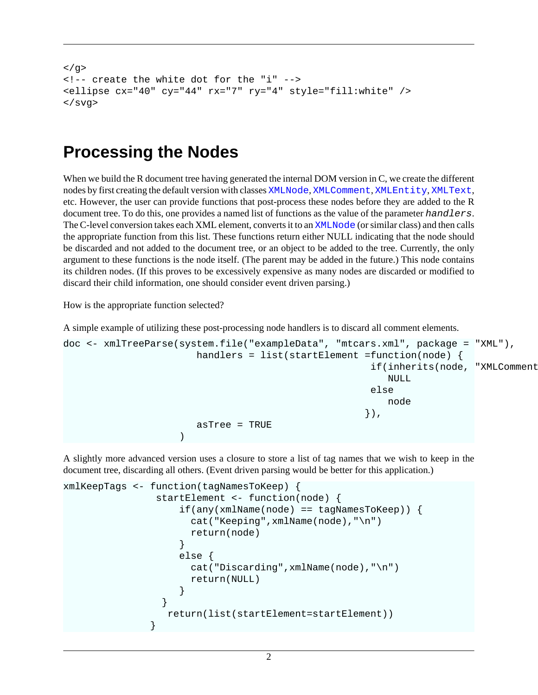```
</g>
<!-- create the white dot for the "i" -->
<ellipse cx="40" cy="44" rx="7" ry="4" style="fill:white" />
</svg>
```
#### **Processing the Nodes**

When we build the R document tree having generated the internal DOM version in C, we create the different nodes by first creating the default version with classes XMLNode, XMLComment, XMLEntity, XMLText, etc. However, the user can provide functions that post-process these nodes before they are added to the R document tree. To do this, one provides a named list of functions as the value of the parameter handlers. The C-level conversion takes each XML element, converts it to an XMLNode (or similar class) and then calls the appropriate function from this list. These functions return either NULL indicating that the node should be discarded and not added to the document tree, or an object to be added to the tree. Currently, the only argument to these functions is the node itself. (The parent may be added in the future.) This node contains its children nodes. (If this proves to be excessively expensive as many nodes are discarded or modified to discard their child information, one should consider event driven parsing.)

How is the appropriate function selected?

A simple example of utilizing these post-processing node handlers is to discard all comment elements.

```
doc <- xmlTreeParse(system.file("exampleData", "mtcars.xml", package = "XML"),
                       handlers = list(startElement =function(node) {
                                                   if(inherits(node, "XMLComment
 NULL 
else belgische der deutsche Staatsbekerken der Staatsbekerken in de Staatsbekerken der Staatsbekerken in de St
node and the contract of the contract of the contract of the contract of the contract of the contract of the c
\}),
                       asTree = TRUE
 )
```
A slightly more advanced version uses a closure to store a list of tag names that we wish to keep in the document tree, discarding all others. (Event driven parsing would be better for this application.)

```
xmlKeepTags <- function(tagNamesToKeep) {
              startElement <- function(node) {
                if(any(xm1Name(node) == tagNamesToKeep)) cat("Keeping",xmlName(node),"\n")
                   return(node)
 }
                 else {
                   cat("Discarding",xmlName(node),"\n")
                   return(NULL)
 }
 }
                return(list(startElement=startElement))
 }
```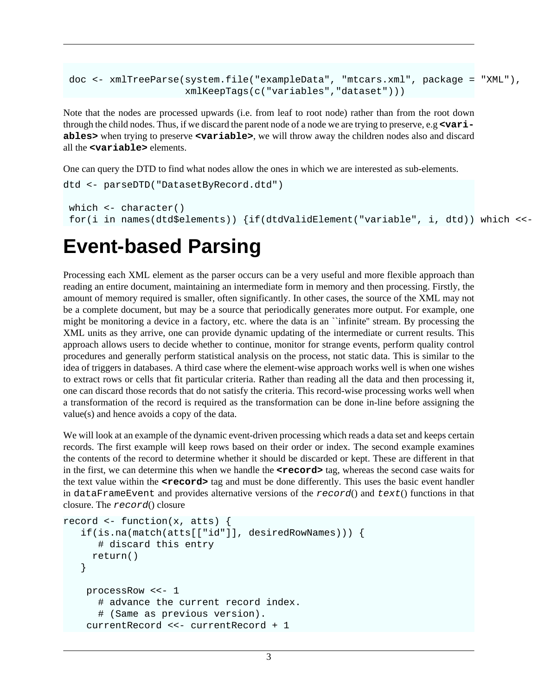```
 doc <- xmlTreeParse(system.file("exampleData", "mtcars.xml", package = "XML"),
                     xmlKeepTags(c("variables","dataset")))
```
Note that the nodes are processed upwards (i.e. from leaf to root node) rather than from the root down through the child nodes. Thus, if we discard the parent node of a node we are trying to preserve, e.g **<variables>** when trying to preserve **<variable>**, we will throw away the children nodes also and discard all the **<variable>** elements.

One can query the DTD to find what nodes allow the ones in which we are interested as sub-elements.

```
dtd <- parseDTD("DatasetByRecord.dtd")
which \leftarrow character()
 for(i in names(dtd$elements)) \{if(dtdValidElement("variable", i, dtd)) which <<-
```
### **Event-based Parsing**

Processing each XML element as the parser occurs can be a very useful and more flexible approach than reading an entire document, maintaining an intermediate form in memory and then processing. Firstly, the amount of memory required is smaller, often significantly. In other cases, the source of the XML may not be a complete document, but may be a source that periodically generates more output. For example, one might be monitoring a device in a factory, etc. where the data is an ``infinite'' stream. By processing the XML units as they arrive, one can provide dynamic updating of the intermediate or current results. This approach allows users to decide whether to continue, monitor for strange events, perform quality control procedures and generally perform statistical analysis on the process, not static data. This is similar to the idea of triggers in databases. A third case where the element-wise approach works well is when one wishes to extract rows or cells that fit particular criteria. Rather than reading all the data and then processing it, one can discard those records that do not satisfy the criteria. This record-wise processing works well when a transformation of the record is required as the transformation can be done in-line before assigning the value(s) and hence avoids a copy of the data.

We will look at an example of the dynamic event-driven processing which reads a data set and keeps certain records. The first example will keep rows based on their order or index. The second example examines the contents of the record to determine whether it should be discarded or kept. These are different in that in the first, we can determine this when we handle the  $\epsilon$ **record** tag, whereas the second case waits for the text value within the *<u>record</u>* tag and must be done differently. This uses the basic event handler in dataFrameEvent and provides alternative versions of the  $record()$  and  $text()$  functions in that closure. The record() closure

```
record \leq function(x, atts) {
    if(is.na(match(atts[["id"]], desiredRowNames))) {
       # discard this entry
      return()
    }
     processRow <<- 1
       # advance the current record index.
       # (Same as previous version).
     currentRecord <<- currentRecord + 1
```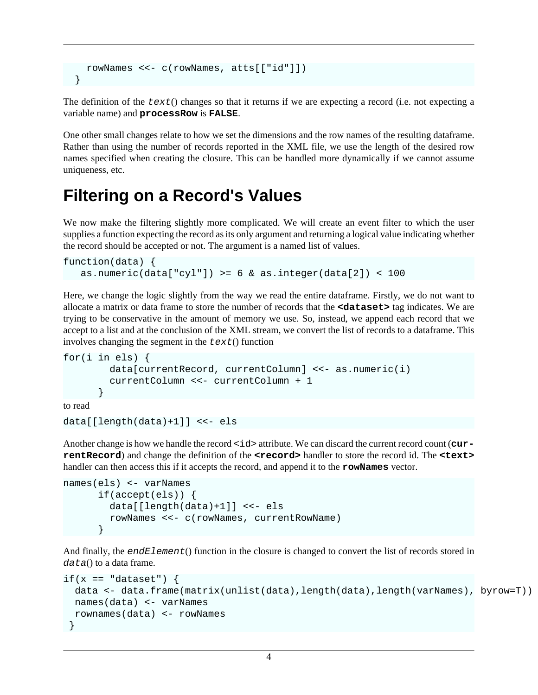```
 rowNames <<- c(rowNames, atts[["id"]])
 }
```
The definition of the  $text{text}(i)$  changes so that it returns if we are expecting a record (i.e. not expecting a variable name) and **processRow** is **FALSE**.

One other small changes relate to how we set the dimensions and the row names of the resulting dataframe. Rather than using the number of records reported in the XML file, we use the length of the desired row names specified when creating the closure. This can be handled more dynamically if we cannot assume uniqueness, etc.

### **Filtering on a Record's Values**

We now make the filtering slightly more complicated. We will create an event filter to which the user supplies a function expecting the record as its only argument and returning a logical value indicating whether the record should be accepted or not. The argument is a named list of values.

```
function(data) {
    as.numeric(data["cyl"]) >= 6 & as.integer(data[2]) < 100
```
Here, we change the logic slightly from the way we read the entire dataframe. Firstly, we do not want to allocate a matrix or data frame to store the number of records that the **<dataset>** tag indicates. We are trying to be conservative in the amount of memory we use. So, instead, we append each record that we accept to a list and at the conclusion of the XML stream, we convert the list of records to a dataframe. This involves changing the segment in the  $text()$  function

```
for(i in els) {
         data[currentRecord, currentColumn] <<- as.numeric(i)
         currentColumn <<- currentColumn + 1
 }
to read
```

```
data[[length(data)+1]] <<- els
```
Another change is how we handle the record <id> attribute. We can discard the current record count (cur**rentRecord**) and change the definition of the **<record>** handler to store the record id. The **<text>** handler can then access this if it accepts the record, and append it to the **rowNames** vector.

```
names(els) <- varNames
       if(accept(els)) {
         data[[length(data)+1]] <<- els
         rowNames <<- c(rowNames, currentRowName)
 }
```
And finally, the endElement() function in the closure is changed to convert the list of records stored in  $data()$  to a data frame.

```
if(x == "dataset") {
  data <- data.frame(matrix(unlist(data),length(data),length(varNames), byrow=T))
  names(data) <- varNames 
  rownames(data) <- rowNames
 }
```